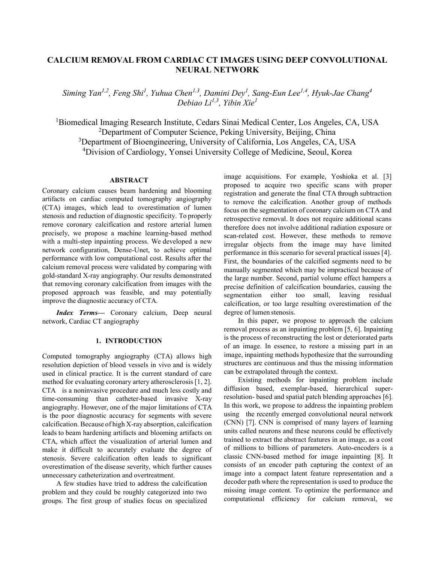# **CALCIUM REMOVAL FROM CARDIAC CT IMAGES USING DEEP CONVOLUTIONAL NEURAL NETWORK**

Siming Yan<sup>1,2</sup>, Feng Shi<sup>1</sup>, Yuhua Chen<sup>1,3</sup>, Damini Dey<sup>1</sup>, Sang-Eun Lee<sup>1,4</sup>, Hyuk-Jae Chang<sup>4</sup> Debiao Li<sup>1,3</sup>. Yibin Xie<sup>1</sup>

<sup>1</sup>Biomedical Imaging Research Institute, Cedars Sinai Medical Center, Los Angeles, CA, USA <sup>2</sup>Department of Computer Science, Peking University, Beijing, China <sup>3</sup>Department of Bioengineering, University of California, Los Angeles, CA, USA <sup>4</sup>Division of Cardiology, Yonsei University College of Medicine, Seoul, Korea

# **ABSTRACT**

Coronary calcium causes beam hardening and blooming artifacts on cardiac computed tomography angiography (CTA) images, which lead to overestimation of lumen stenosis and reduction of diagnostic specificity. To properly remove coronary calcification and restore arterial lumen precisely, we propose a machine learning-based method with a multi-step inpainting process. We developed a new network configuration, Dense-Unet, to achieve optimal performance with low computational cost. Results after the calcium removal process were validated by comparing with gold-standard X-ray angiography. Our results demonstrated that removing coronary calcification from images with the proposed approach was feasible, and may potentially improve the diagnostic accuracy of CTA.

Index Terms- Coronary calcium, Deep neural network, Cardiac CT angiography

## 1. INTRODUCTION

Computed tomography angiography (CTA) allows high resolution depiction of blood vessels in vivo and is widely used in clinical practice. It is the current standard of care method for evaluating coronary artery atherosclerosis [1, 2]. CTA is a noninvasive procedure and much less costly and time-consuming than catheter-based invasive X-ray angiography. However, one of the major limitations of CTA is the poor diagnostic accuracy for segments with severe calcification. Because of high X-ray absorption, calcification leads to beam hardening artifacts and blooming artifacts on CTA, which affect the visualization of arterial lumen and make it difficult to accurately evaluate the degree of stenosis. Severe calcification often leads to significant overestimation of the disease severity, which further causes unnecessary catheterization and overtreatment.

A few studies have tried to address the calcification problem and they could be roughly categorized into two groups. The first group of studies focus on specialized

image acquisitions. For example, Yoshioka et al. [3] proposed to acquire two specific scans with proper registration and generate the final CTA through subtraction to remove the calcification. Another group of methods focus on the segmentation of coronary calcium on CTA and retrospective removal. It does not require additional scans therefore does not involve additional radiation exposure or scan-related cost. However, these methods to remove irregular objects from the image may have limited performance in this scenario for several practical issues [4]. First, the boundaries of the calcified segments need to be manually segmented which may be impractical because of the large number. Second, partial volume effect hampers a precise definition of calcification boundaries, causing the segmentation either too small, leaving residual calcification, or too large resulting overestimation of the degree of lumen stenosis.

In this paper, we propose to approach the calcium removal process as an inpainting problem [5, 6]. Inpainting is the process of reconstructing the lost or deteriorated parts of an image. In essence, to restore a missing part in an image, inpainting methods hypothesize that the surrounding structures are continuous and thus the missing information can be extrapolated through the context.

Existing methods for inpainting problem include diffusion based, exemplar-based, hierarchical superresolution-based and spatial patch blending approaches [6]. In this work, we propose to address the inpainting problem using the recently emerged convolutional neural network (CNN) [7]. CNN is comprised of many layers of learning units called neurons and these neurons could be effectively trained to extract the abstract features in an image, as a cost of millions to billions of parameters. Auto-encoders is a classic CNN-based method for image inpainting [8]. It consists of an encoder path capturing the context of an image into a compact latent feature representation and a decoder path where the representation is used to produce the missing image content. To optimize the performance and computational efficiency for calcium removal, we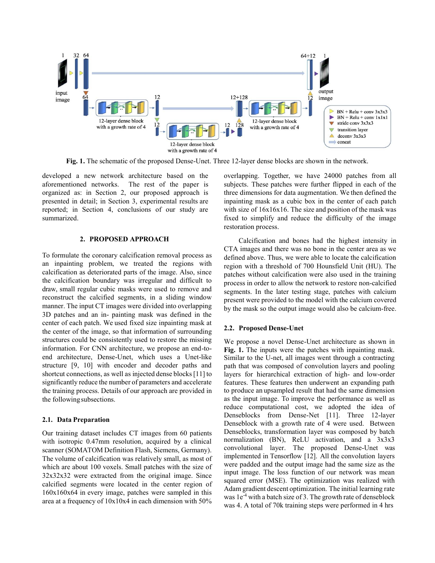

Fig. 1. The schematic of the proposed Dense-Unet. Three 12-layer dense blocks are shown in the network.

developed a new network architecture based on the The rest of the paper is aforementioned networks. organized as: in Section 2, our proposed approach is presented in detail; in Section 3, experimental results are reported; in Section 4, conclusions of our study are summarized.

# 2. PROPOSED APPROACH

To formulate the coronary calcification removal process as an inpainting problem, we treated the regions with calcification as deteriorated parts of the image. Also, since the calcification boundary was irregular and difficult to draw, small regular cubic masks were used to remove and reconstruct the calcified segments, in a sliding window manner. The input CT images were divided into overlapping 3D patches and an in- painting mask was defined in the center of each patch. We used fixed size inpainting mask at the center of the image, so that information of surrounding structures could be consistently used to restore the missing information. For CNN architecture, we propose an end-toend architecture, Dense-Unet, which uses a Unet-like structure [9, 10] with encoder and decoder paths and shortcut connections, as well as injected dense blocks [11] to significantly reduce the number of parameters and accelerate the training process. Details of our approach are provided in the following subsections.

#### 2.1. Data Preparation

Our training dataset includes CT images from 60 patients with isotropic 0.47mm resolution, acquired by a clinical scanner (SOMATOM Definition Flash, Siemens, Germany). The volume of calcification was relatively small, as most of which are about 100 voxels. Small patches with the size of  $32x32x32$  were extracted from the original image. Since calcified segments were located in the center region of  $160x160x64$  in every image, patches were sampled in this area at a frequency of  $10x10x4$  in each dimension with 50%

overlapping. Together, we have 24000 patches from all subjects. These patches were further flipped in each of the three dimensions for data augmentation. We then defined the inpainting mask as a cubic box in the center of each patch with size of  $16x16x16$ . The size and position of the mask was fixed to simplify and reduce the difficulty of the image restoration process.

Calcification and bones had the highest intensity in CTA images and there was no bone in the center area as we defined above. Thus, we were able to locate the calcification region with a threshold of 700 Hounsfield Unit (HU). The patches without calcification were also used in the training process in order to allow the network to restore non-calcified segments. In the later testing stage, patches with calcium present were provided to the model with the calcium covered by the mask so the output image would also be calcium-free.

#### 2.2. Proposed Dense-Unet

We propose a novel Dense-Unet architecture as shown in Fig. 1. The inputs were the patches with inpainting mask. Similar to the U-net, all images went through a contracting path that was composed of convolution layers and pooling layers for hierarchical extraction of high- and low-order features. These features then underwent an expanding path to produce an upsampled result that had the same dimension as the input image. To improve the performance as well as reduce computational cost, we adopted the idea of Denseblocks from Dense-Net [11]. Three 12-layer Denseblock with a growth rate of 4 were used. Between Denseblocks, transformation layer was composed by batch normalization (BN), ReLU activation, and a 3x3x3 convolutional layer. The proposed Dense-Unet was implemented in Tensorflow [12]. All the convolution layers were padded and the output image had the same size as the input image. The loss function of our network was mean squared error (MSE). The optimization was realized with Adam gradient descent optimization. The initial learning rate was  $1e<sup>-4</sup>$  with a batch size of 3. The growth rate of denseblock was 4. A total of 70k training steps were performed in 4 hrs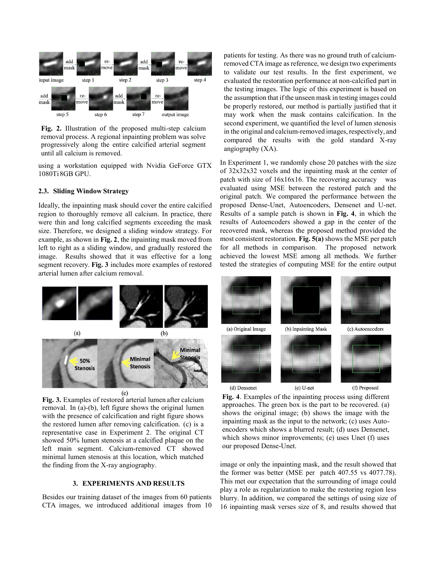

Fig. 2. Illustration of the proposed multi-step calcium removal process. A regional inpainting problem was solve progressively along the entire calcified arterial segment until all calcium is removed.

using a workstation equipped with Nvidia GeForce GTX 1080Ti 8GB GPU.

#### 2.3. Sliding Window Strategy

Ideally, the inpainting mask should cover the entire calcified region to thoroughly remove all calcium. In practice, there were thin and long calcified segments exceeding the mask size. Therefore, we designed a sliding window strategy. For example, as shown in Fig. 2, the inpainting mask moved from left to right as a sliding window, and gradually restored the image. Results showed that it was effective for a long segment recovery. Fig. 3 includes more examples of restored arterial lumen after calcium removal.



Fig. 3. Examples of restored arterial lumen after calcium removal. In (a)-(b), left figure shows the original lumen with the presence of calcification and right figure shows the restored lumen after removing calcification. (c) is a representative case in Experiment 2. The original CT showed 50% lumen stenosis at a calcified plaque on the left main segment. Calcium-removed CT showed minimal lumen stenosis at this location, which matched the finding from the X-ray angiography.

#### 3. EXPERIMENTS AND RESULTS

Besides our training dataset of the images from 60 patients CTA images, we introduced additional images from 10 patients for testing. As there was no ground truth of calciumremoved CTA image as reference, we design two experiments to validate our test results. In the first experiment, we evaluated the restoration performance at non-calcified part in the testing images. The logic of this experiment is based on the assumption that if the unseen mask in testing images could be properly restored, our method is partially justified that it may work when the mask contains calcification. In the second experiment, we quantified the level of lumen stenosis in the original and calcium-removed images, respectively, and compared the results with the gold standard X-ray angiography  $(XA)$ .

In Experiment 1, we randomly chose 20 patches with the size of 32x32x32 voxels and the inpainting mask at the center of patch with size of 16x16x16. The recovering accuracy was evaluated using MSE between the restored patch and the original patch. We compared the performance between the proposed Dense-Unet, Autoencoders, Densenet and U-net. Results of a sample patch is shown in Fig. 4, in which the results of Autoencoders showed a gap in the center of the recovered mask, whereas the proposed method provided the most consistent restoration. Fig.  $5(a)$  shows the MSE per patch for all methods in comparison. The proposed network achieved the lowest MSE among all methods. We further tested the strategies of computing MSE for the entire output



Fig. 4. Examples of the inpainting process using different approaches. The green box is the part to be recovered. (a) shows the original image; (b) shows the image with the inpainting mask as the input to the network; (c) uses Autoencoders which shows a blurred result; (d) uses Densenet, which shows minor improvements; (e) uses Unet (f) uses our proposed Dense-Unet.

image or only the inpainting mask, and the result showed that the former was better (MSE per patch 407.55 vs 4077.78). This met our expectation that the surrounding of image could play a role as regularization to make the restoring region less blurry. In addition, we compared the settings of using size of 16 inpainting mask verses size of 8, and results showed that